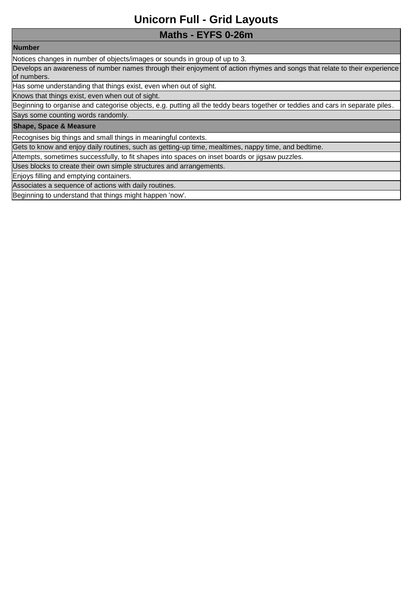# **Unicorn Full - Grid Layouts**

## **Maths - EYFS 0-26m**

## **Number**

Notices changes in number of objects/images or sounds in group of up to 3.

Develops an awareness of number names through their enjoyment of action rhymes and songs that relate to their experience of numbers.

Has some understanding that things exist, even when out of sight.

Knows that things exist, even when out of sight.

Beginning to organise and categorise objects, e.g. putting all the teddy bears together or teddies and cars in separate piles. Says some counting words randomly.

## **Shape, Space & Measure**

Recognises big things and small things in meaningful contexts.

Gets to know and enjoy daily routines, such as getting-up time, mealtimes, nappy time, and bedtime.

Attempts, sometimes successfully, to fit shapes into spaces on inset boards or jigsaw puzzles.

Uses blocks to create their own simple structures and arrangements.

Enjoys filling and emptying containers.

Associates a sequence of actions with daily routines.

Beginning to understand that things might happen 'now'.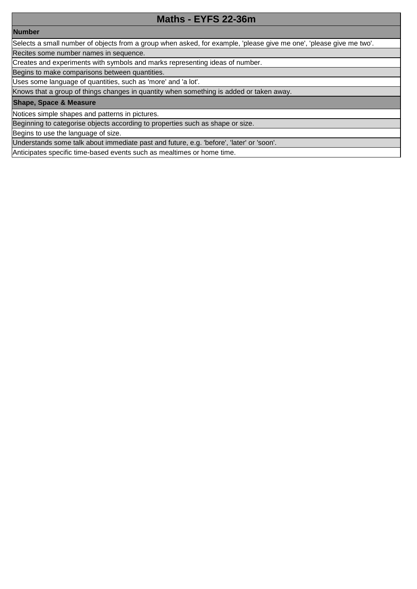## **Maths - EYFS 22-36m**

### **Number**

Selects a small number of objects from a group when asked, for example, 'please give me one', 'please give me two'.

Recites some number names in sequence.

Creates and experiments with symbols and marks representing ideas of number.

Begins to make comparisons between quantities.

Uses some language of quantities, such as 'more' and 'a lot'.

Knows that a group of things changes in quantity when something is added or taken away.

## **Shape, Space & Measure**

Notices simple shapes and patterns in pictures.

Beginning to categorise objects according to properties such as shape or size.

Begins to use the language of size.

Understands some talk about immediate past and future, e.g. 'before', 'later' or 'soon'.

Anticipates specific time-based events such as mealtimes or home time.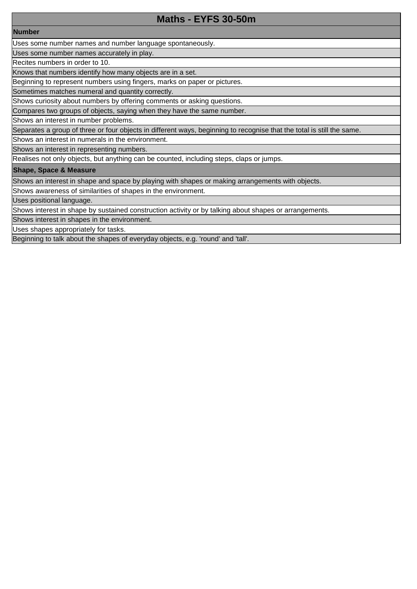## **Maths - EYFS 30-50m**

#### **Number**

Uses some number names and number language spontaneously.

Uses some number names accurately in play.

Recites numbers in order to 10.

Knows that numbers identify how many objects are in a set.

Beginning to represent numbers using fingers, marks on paper or pictures.

Sometimes matches numeral and quantity correctly.

Shows curiosity about numbers by offering comments or asking questions.

Compares two groups of objects, saying when they have the same number.

Shows an interest in number problems.

Separates a group of three or four objects in different ways, beginning to recognise that the total is still the same.

Shows an interest in numerals in the environment.

Shows an interest in representing numbers.

Realises not only objects, but anything can be counted, including steps, claps or jumps.

**Shape, Space & Measure**

Shows an interest in shape and space by playing with shapes or making arrangements with objects.

Shows awareness of similarities of shapes in the environment.

Uses positional language.

Shows interest in shape by sustained construction activity or by talking about shapes or arrangements.

Shows interest in shapes in the environment.

Uses shapes appropriately for tasks.

Beginning to talk about the shapes of everyday objects, e.g. 'round' and 'tall'.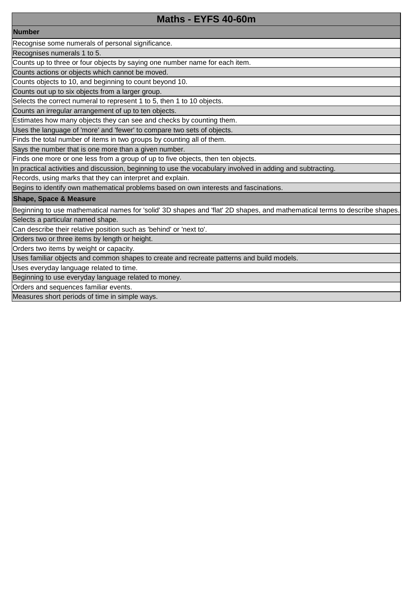## **Maths - EYFS 40-60m**

### **Number**

Recognise some numerals of personal significance.

Recognises numerals 1 to 5.

Counts up to three or four objects by saying one number name for each item.

Counts actions or objects which cannot be moved.

Counts objects to 10, and beginning to count beyond 10.

Counts out up to six objects from a larger group.

Selects the correct numeral to represent 1 to 5, then 1 to 10 objects.

Counts an irregular arrangement of up to ten objects.

Estimates how many objects they can see and checks by counting them.

Uses the language of 'more' and 'fewer' to compare two sets of objects.

Finds the total number of items in two groups by counting all of them.

Says the number that is one more than a given number.

Finds one more or one less from a group of up to five objects, then ten objects.

In practical activities and discussion, beginning to use the vocabulary involved in adding and subtracting.

Records, using marks that they can interpret and explain.

Begins to identify own mathematical problems based on own interests and fascinations.

### **Shape, Space & Measure**

Beginning to use mathematical names for 'solid' 3D shapes and 'flat' 2D shapes, and mathematical terms to describe shapes.

Selects a particular named shape.

Can describe their relative position such as 'behind' or 'next to'.

Orders two or three items by length or height.

Orders two items by weight or capacity.

Uses familiar objects and common shapes to create and recreate patterns and build models.

Uses everyday language related to time.

Beginning to use everyday language related to money.

Orders and sequences familiar events.

Measures short periods of time in simple ways.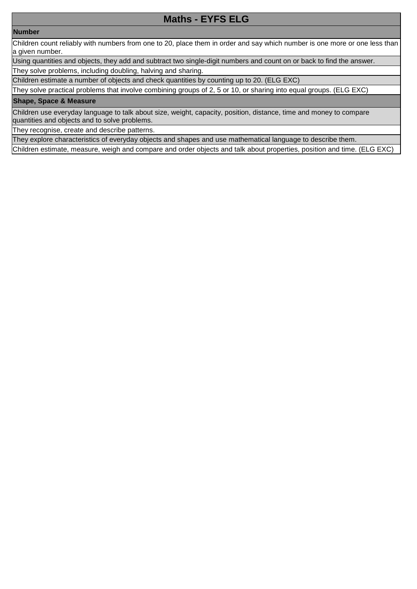## **Maths - EYFS ELG**

### **Number**

Children count reliably with numbers from one to 20, place them in order and say which number is one more or one less than a given number.

Using quantities and objects, they add and subtract two single-digit numbers and count on or back to find the answer.

They solve problems, including doubling, halving and sharing.

Children estimate a number of objects and check quantities by counting up to 20. (ELG EXC)

They solve practical problems that involve combining groups of 2, 5 or 10, or sharing into equal groups. (ELG EXC)

## **Shape, Space & Measure**

Children use everyday language to talk about size, weight, capacity, position, distance, time and money to compare quantities and objects and to solve problems.

They recognise, create and describe patterns.

They explore characteristics of everyday objects and shapes and use mathematical language to describe them.

Children estimate, measure, weigh and compare and order objects and talk about properties, position and time. (ELG EXC)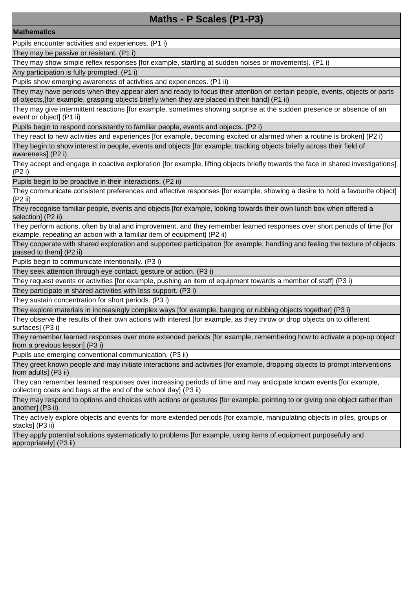## **Maths - P Scales (P1-P3)**

## **Mathematics**

Pupils encounter activities and experiences. (P1 i)

They may be passive or resistant. (P1 i)

They may show simple reflex responses [for example, startling at sudden noises or movements]. (P1 i)

Any participation is fully prompted. (P1 i)

Pupils show emerging awareness of activities and experiences. (P1 ii)

They may have periods when they appear alert and ready to focus their attention on certain people, events, objects or parts of objects,[for example, grasping objects briefly when they are placed in their hand] (P1 ii)

They may give intermittent reactions [for example, sometimes showing surprise at the sudden presence or absence of an event or object] (P1 ii)

Pupils begin to respond consistently to familiar people, events and objects. (P2 i)

They react to new activities and experiences [for example, becoming excited or alarmed when a routine is broken] (P2 i) They begin to show interest in people, events and objects [for example, tracking objects briefly across their field of awareness] (P2 i)

They accept and engage in coactive exploration [for example, lifting objects briefly towards the face in shared investigations] (P2 i)

Pupils begin to be proactive in their interactions. (P2 ii)

They communicate consistent preferences and affective responses [for example, showing a desire to hold a favourite object] (P2 ii)

They recognise familiar people, events and objects [for example, looking towards their own lunch box when offered a selection] (P2 ii)

They perform actions, often by trial and improvement, and they remember learned responses over short periods of time [for example, repeating an action with a familiar item of equipment] (P2 ii)

They cooperate with shared exploration and supported participation [for example, handling and feeling the texture of objects passed to them] (P2 ii)

Pupils begin to communicate intentionally. (P3 i)

They seek attention through eye contact, gesture or action. (P3 i)

They request events or activities [for example, pushing an item of equipment towards a member of staff] (P3 i)

They participate in shared activities with less support. (P3 i)

They sustain concentration for short periods. (P3 i)

They explore materials in increasingly complex ways [for example, banging or rubbing objects together] (P3 i)

They observe the results of their own actions with interest [for example, as they throw or drop objects on to different surfaces] (P3 i)

They remember learned responses over more extended periods [for example, remembering how to activate a pop-up object from a previous lesson] (P3 i)

Pupils use emerging conventional communication. (P3 ii)

They greet known people and may initiate interactions and activities [for example, dropping objects to prompt interventions from adults] (P3 ii)

They can remember learned responses over increasing periods of time and may anticipate known events [for example, collecting coats and bags at the end of the school day] (P3 ii)

They may respond to options and choices with actions or gestures [for example, pointing to or giving one object rather than another] (P3 ii)

They actively explore objects and events for more extended periods [for example, manipulating objects in piles, groups or stacks] (P3 ii)

They apply potential solutions systematically to problems [for example, using items of equipment purposefully and appropriately] (P3 ii)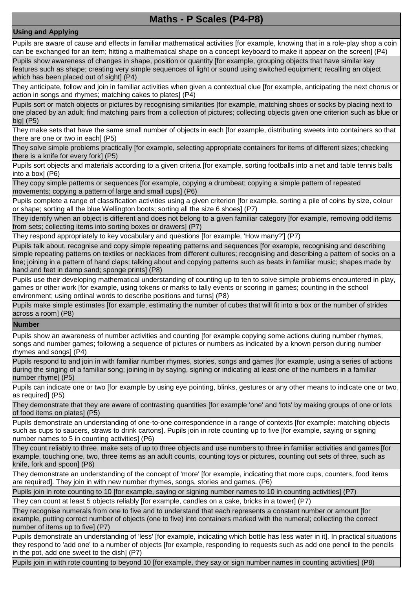## **Maths - P Scales (P4-P8)**

## **Using and Applying**

Pupils are aware of cause and effects in familiar mathematical activities [for example, knowing that in a role-play shop a coin can be exchanged for an item; hitting a mathematical shape on a concept keyboard to make it appear on the screen] (P4)

Pupils show awareness of changes in shape, position or quantity [for example, grouping objects that have similar key features such as shape; creating very simple sequences of light or sound using switched equipment; recalling an object which has been placed out of sight] (P4)

They anticipate, follow and join in familiar activities when given a contextual clue [for example, anticipating the next chorus or action in songs and rhymes; matching cakes to plates] (P4)

Pupils sort or match objects or pictures by recognising similarities [for example, matching shoes or socks by placing next to one placed by an adult; find matching pairs from a collection of pictures; collecting objects given one criterion such as blue or  $bia$  $(P5)$ 

They make sets that have the same small number of objects in each [for example, distributing sweets into containers so that there are one or two in each] (P5)

They solve simple problems practically [for example, selecting appropriate containers for items of different sizes; checking there is a knife for every fork] (P5)

Pupils sort objects and materials according to a given criteria [for example, sorting footballs into a net and table tennis balls into a box] (P6)

They copy simple patterns or sequences [for example, copying a drumbeat; copying a simple pattern of repeated movements; copying a pattern of large and small cups] (P6)

Pupils complete a range of classification activities using a given criterion [for example, sorting a pile of coins by size, colour or shape; sorting all the blue Wellington boots; sorting all the size 6 shoes] (P7)

They identify when an object is different and does not belong to a given familiar category [for example, removing odd items from sets; collecting items into sorting boxes or drawers] (P7)

They respond appropriately to key vocabulary and questions [for example, 'How many?'] (P7)

Pupils talk about, recognise and copy simple repeating patterns and sequences [for example, recognising and describing simple repeating patterns on textiles or necklaces from different cultures; recognising and describing a pattern of socks on a line; joining in a pattern of hand claps; talking about and copying patterns such as beats in familiar music; shapes made by hand and feet in damp sand; sponge prints] (P8)

Pupils use their developing mathematical understanding of counting up to ten to solve simple problems encountered in play, games or other work [for example, using tokens or marks to tally events or scoring in games; counting in the school environment; using ordinal words to describe positions and turns] (P8)

Pupils make simple estimates [for example, estimating the number of cubes that will fit into a box or the number of strides across a room] (P8)

## **Number**

Pupils show an awareness of number activities and counting [for example copying some actions during number rhymes, songs and number games; following a sequence of pictures or numbers as indicated by a known person during number rhymes and songs] (P4)

Pupils respond to and join in with familiar number rhymes, stories, songs and games [for example, using a series of actions during the singing of a familiar song; joining in by saying, signing or indicating at least one of the numbers in a familiar number rhyme] (P5)

Pupils can indicate one or two [for example by using eye pointing, blinks, gestures or any other means to indicate one or two, as required] (P5)

They demonstrate that they are aware of contrasting quantities [for example 'one' and 'lots' by making groups of one or lots of food items on plates] (P5)

Pupils demonstrate an understanding of one-to-one correspondence in a range of contexts [for example: matching objects such as cups to saucers, straws to drink cartons]. Pupils join in rote counting up to five [for example, saying or signing number names to 5 in counting activities] (P6)

They count reliably to three, make sets of up to three objects and use numbers to three in familiar activities and games [for example, touching one, two, three items as an adult counts, counting toys or pictures, counting out sets of three, such as knife, fork and spoon] (P6)

They demonstrate an understanding of the concept of 'more' [for example, indicating that more cups, counters, food items are required]. They join in with new number rhymes, songs, stories and games. (P6)

Pupils join in rote counting to 10 [for example, saying or signing number names to 10 in counting activities] (P7)

They can count at least 5 objects reliably [for example, candles on a cake, bricks in a tower] (P7)

They recognise numerals from one to five and to understand that each represents a constant number or amount [for example, putting correct number of objects (one to five) into containers marked with the numeral; collecting the correct number of items up to five] (P7)

Pupils demonstrate an understanding of 'less' [for example, indicating which bottle has less water in it]. In practical situations they respond to 'add one' to a number of objects [for example, responding to requests such as add one pencil to the pencils in the pot, add one sweet to the dish] (P7)

Pupils join in with rote counting to beyond 10 [for example, they say or sign number names in counting activities] (P8)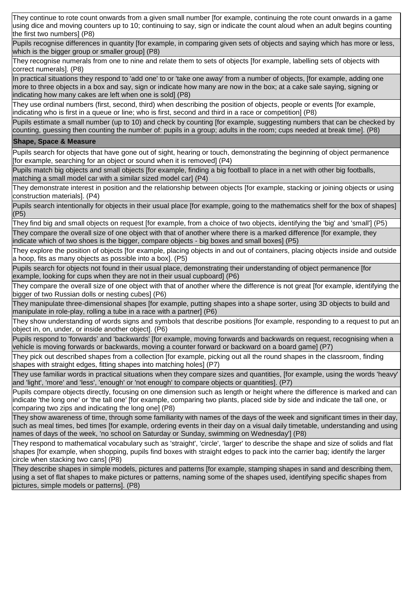They continue to rote count onwards from a given small number [for example, continuing the rote count onwards in a game using dice and moving counters up to 10; continuing to say, sign or indicate the count aloud when an adult begins counting the first two numbers] (P8)

Pupils recognise differences in quantity [for example, in comparing given sets of objects and saying which has more or less, which is the bigger group or smaller group] (P8)

They recognise numerals from one to nine and relate them to sets of objects [for example, labelling sets of objects with correct numerals]. (P8)

In practical situations they respond to 'add one' to or 'take one away' from a number of objects, [for example, adding one more to three objects in a box and say, sign or indicate how many are now in the box; at a cake sale saying, signing or indicating how many cakes are left when one is sold] (P8)

They use ordinal numbers (first, second, third) when describing the position of objects, people or events [for example, indicating who is first in a queue or line; who is first, second and third in a race or competition] (P8)

Pupils estimate a small number (up to 10) and check by counting [for example, suggesting numbers that can be checked by counting, guessing then counting the number of: pupils in a group; adults in the room; cups needed at break time]. (P8)

## **Shape, Space & Measure**

Pupils search for objects that have gone out of sight, hearing or touch, demonstrating the beginning of object permanence [for example, searching for an object or sound when it is removed] (P4)

Pupils match big objects and small objects [for example, finding a big football to place in a net with other big footballs, matching a small model car with a similar sized model car] (P4)

They demonstrate interest in position and the relationship between objects [for example, stacking or joining objects or using construction materials]. (P4)

Pupils search intentionally for objects in their usual place [for example, going to the mathematics shelf for the box of shapes] (P5)

They find big and small objects on request [for example, from a choice of two objects, identifying the 'big' and 'small'] (P5)

They compare the overall size of one object with that of another where there is a marked difference [for example, they indicate which of two shoes is the bigger, compare objects - big boxes and small boxes] (P5)

They explore the position of objects [for example, placing objects in and out of containers, placing objects inside and outside a hoop, fits as many objects as possible into a box]. (P5)

Pupils search for objects not found in their usual place, demonstrating their understanding of object permanence [for example, looking for cups when they are not in their usual cupboard] (P6)

They compare the overall size of one object with that of another where the difference is not great [for example, identifying the bigger of two Russian dolls or nesting cubes] (P6)

They manipulate three-dimensional shapes [for example, putting shapes into a shape sorter, using 3D objects to build and manipulate in role-play, rolling a tube in a race with a partner] (P6)

They show understanding of words signs and symbols that describe positions [for example, responding to a request to put an object in, on, under, or inside another object]. (P6)

Pupils respond to 'forwards' and 'backwards' [for example, moving forwards and backwards on request, recognising when a vehicle is moving forwards or backwards, moving a counter forward or backward on a board game] (P7)

They pick out described shapes from a collection [for example, picking out all the round shapes in the classroom, finding shapes with straight edges, fitting shapes into matching holes] (P7)

They use familiar words in practical situations when they compare sizes and quantities, [for example, using the words 'heavy' and 'light', 'more' and 'less', 'enough' or 'not enough' to compare objects or quantities]. (P7)

Pupils compare objects directly, focusing on one dimension such as length or height where the difference is marked and can indicate 'the long one' or 'the tall one' [for example, comparing two plants, placed side by side and indicate the tall one, or comparing two zips and indicating the long one] (P8)

They show awareness of time, through some familiarity with names of the days of the week and significant times in their day, such as meal times, bed times [for example, ordering events in their day on a visual daily timetable, understanding and using names of days of the week, 'no school on Saturday or Sunday, swimming on Wednesday'] (P8)

They respond to mathematical vocabulary such as 'straight', 'circle', 'larger' to describe the shape and size of solids and flat shapes [for example, when shopping, pupils find boxes with straight edges to pack into the carrier bag; identify the larger circle when stacking two cans] (P8)

They describe shapes in simple models, pictures and patterns [for example, stamping shapes in sand and describing them, using a set of flat shapes to make pictures or patterns, naming some of the shapes used, identifying specific shapes from pictures, simple models or patterns]. (P8)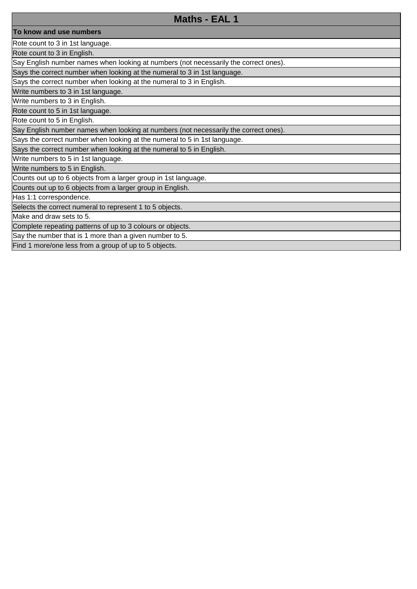| <b>Maths - EAL 1</b>                                                                 |
|--------------------------------------------------------------------------------------|
| To know and use numbers                                                              |
| Rote count to 3 in 1st language.                                                     |
| Rote count to 3 in English.                                                          |
| Say English number names when looking at numbers (not necessarily the correct ones). |
| Says the correct number when looking at the numeral to 3 in 1st language.            |
| Says the correct number when looking at the numeral to 3 in English.                 |
| Write numbers to 3 in 1st language.                                                  |
| Write numbers to 3 in English.                                                       |
| Rote count to 5 in 1st language.                                                     |
| Rote count to 5 in English.                                                          |
| Say English number names when looking at numbers (not necessarily the correct ones). |
| Says the correct number when looking at the numeral to 5 in 1st language.            |
| Says the correct number when looking at the numeral to 5 in English.                 |
| Write numbers to 5 in 1st language.                                                  |
| Write numbers to 5 in English.                                                       |
| Counts out up to 6 objects from a larger group in 1st language.                      |
| Counts out up to 6 objects from a larger group in English.                           |
| Has 1:1 correspondence.                                                              |
| Selects the correct numeral to represent 1 to 5 objects.                             |
| Make and draw sets to 5.                                                             |
| Complete repeating patterns of up to 3 colours or objects.                           |
| Say the number that is 1 more than a given number to 5.                              |
| Find 1 more/one less from a group of up to 5 objects.                                |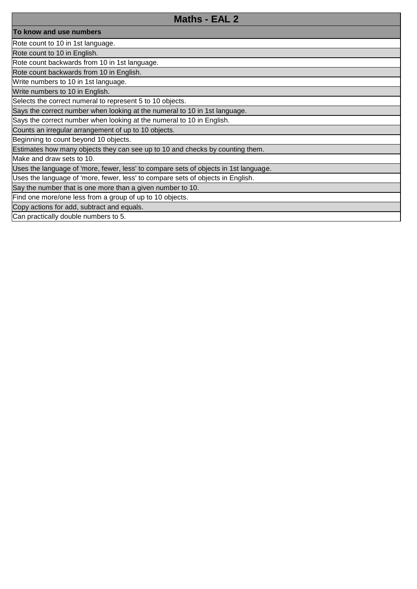| <b>Maths - EAL 2</b>                                                                 |
|--------------------------------------------------------------------------------------|
| To know and use numbers                                                              |
| Rote count to 10 in 1st language.                                                    |
| Rote count to 10 in English.                                                         |
| Rote count backwards from 10 in 1st language.                                        |
| Rote count backwards from 10 in English.                                             |
| Write numbers to 10 in 1st language.                                                 |
| Write numbers to 10 in English.                                                      |
| Selects the correct numeral to represent 5 to 10 objects.                            |
| Says the correct number when looking at the numeral to 10 in 1st language.           |
| Says the correct number when looking at the numeral to 10 in English.                |
| Counts an irregular arrangement of up to 10 objects.                                 |
| Beginning to count beyond 10 objects.                                                |
| Estimates how many objects they can see up to 10 and checks by counting them.        |
| Make and draw sets to 10.                                                            |
| Uses the language of 'more, fewer, less' to compare sets of objects in 1st language. |
| Uses the language of 'more, fewer, less' to compare sets of objects in English.      |
| Say the number that is one more than a given number to 10.                           |
| Find one more/one less from a group of up to 10 objects.                             |
| Copy actions for add, subtract and equals.                                           |
| Can practically double numbers to 5.                                                 |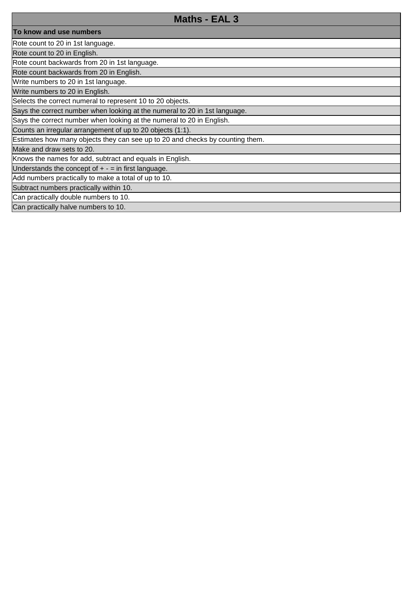| <b>Maths - EAL 3</b>                                                          |
|-------------------------------------------------------------------------------|
| To know and use numbers                                                       |
| Rote count to 20 in 1st language.                                             |
| Rote count to 20 in English.                                                  |
| Rote count backwards from 20 in 1st language.                                 |
| Rote count backwards from 20 in English.                                      |
| Write numbers to 20 in 1st language.                                          |
| Write numbers to 20 in English.                                               |
| Selects the correct numeral to represent 10 to 20 objects.                    |
| Says the correct number when looking at the numeral to 20 in 1st language.    |
| Says the correct number when looking at the numeral to 20 in English.         |
| Counts an irregular arrangement of up to 20 objects (1:1).                    |
| Estimates how many objects they can see up to 20 and checks by counting them. |
| Make and draw sets to 20.                                                     |
| Knows the names for add, subtract and equals in English.                      |
| Understands the concept of $+ -$ = in first language.                         |
| Add numbers practically to make a total of up to 10.                          |
| Subtract numbers practically within 10.                                       |
| Can practically double numbers to 10.                                         |
| Can practically halve numbers to 10.                                          |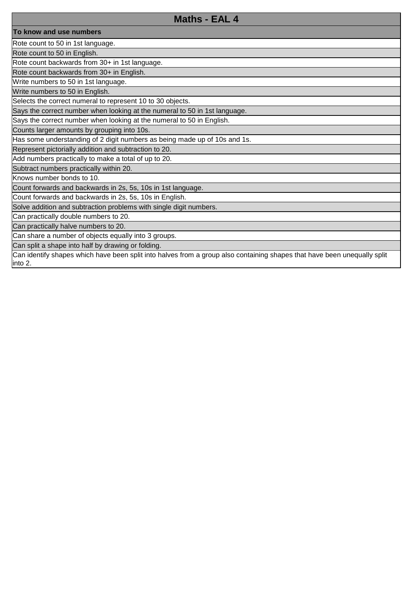| <b>Maths - EAL 4</b>                                                                                                                |
|-------------------------------------------------------------------------------------------------------------------------------------|
| To know and use numbers                                                                                                             |
| Rote count to 50 in 1st language.                                                                                                   |
| Rote count to 50 in English.                                                                                                        |
| Rote count backwards from 30+ in 1st language.                                                                                      |
| Rote count backwards from 30+ in English.                                                                                           |
| Write numbers to 50 in 1st language.                                                                                                |
| Write numbers to 50 in English.                                                                                                     |
| Selects the correct numeral to represent 10 to 30 objects.                                                                          |
| Says the correct number when looking at the numeral to 50 in 1st language.                                                          |
| Says the correct number when looking at the numeral to 50 in English.                                                               |
| Counts larger amounts by grouping into 10s.                                                                                         |
| Has some understanding of 2 digit numbers as being made up of 10s and 1s.                                                           |
| Represent pictorially addition and subtraction to 20.                                                                               |
| Add numbers practically to make a total of up to 20.                                                                                |
| Subtract numbers practically within 20.                                                                                             |
| Knows number bonds to 10.                                                                                                           |
| Count forwards and backwards in 2s, 5s, 10s in 1st language.                                                                        |
| Count forwards and backwards in 2s, 5s, 10s in English.                                                                             |
| Solve addition and subtraction problems with single digit numbers.                                                                  |
| Can practically double numbers to 20.                                                                                               |
| Can practically halve numbers to 20.                                                                                                |
| Can share a number of objects equally into 3 groups.                                                                                |
| Can split a shape into half by drawing or folding.                                                                                  |
| Can identify shapes which have been split into halves from a group also containing shapes that have been unequally split<br>into 2. |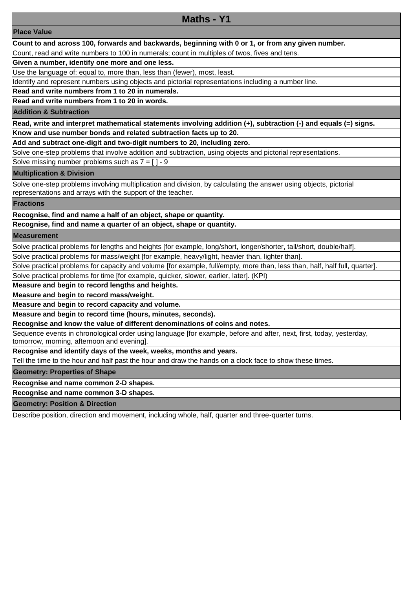### **Place Value**

**Count to and across 100, forwards and backwards, beginning with 0 or 1, or from any given number.** 

Count, read and write numbers to 100 in numerals; count in multiples of twos, fives and tens.

**Given a number, identify one more and one less.** 

Use the language of: equal to, more than, less than (fewer), most, least.

Identify and represent numbers using objects and pictorial representations including a number line.

**Read and write numbers from 1 to 20 in numerals.**

**Read and write numbers from 1 to 20 in words.**

## **Addition & Subtraction**

**Read, write and interpret mathematical statements involving addition (+), subtraction (-) and equals (=) signs. Know and use number bonds and related subtraction facts up to 20.** 

**Add and subtract one-digit and two-digit numbers to 20, including zero.**

Solve one-step problems that involve addition and subtraction, using objects and pictorial representations.

Solve missing number problems such as 7 = [ ] - 9

### **Multiplication & Division**

Solve one-step problems involving multiplication and division, by calculating the answer using objects, pictorial representations and arrays with the support of the teacher.

#### **Fractions**

**Recognise, find and name a half of an object, shape or quantity.** 

**Recognise, find and name a quarter of an object, shape or quantity.**

### **Measurement**

Solve practical problems for lengths and heights [for example, long/short, longer/shorter, tall/short, double/half].

Solve practical problems for mass/weight [for example, heavy/light, heavier than, lighter than].

Solve practical problems for capacity and volume [for example, full/empty, more than, less than, half, half full, quarter].

Solve practical problems for time [for example, quicker, slower, earlier, later]. (KPI)

**Measure and begin to record lengths and heights.**

**Measure and begin to record mass/weight.**

**Measure and begin to record capacity and volume.**

**Measure and begin to record time (hours, minutes, seconds).**

**Recognise and know the value of different denominations of coins and notes.**

Sequence events in chronological order using language [for example, before and after, next, first, today, yesterday, tomorrow, morning, afternoon and evening].

**Recognise and identify days of the week, weeks, months and years.**

Tell the time to the hour and half past the hour and draw the hands on a clock face to show these times.

**Geometry: Properties of Shape**

**Recognise and name common 2-D shapes.**

**Recognise and name common 3-D shapes.**

**Geometry: Position & Direction**

Describe position, direction and movement, including whole, half, quarter and three-quarter turns.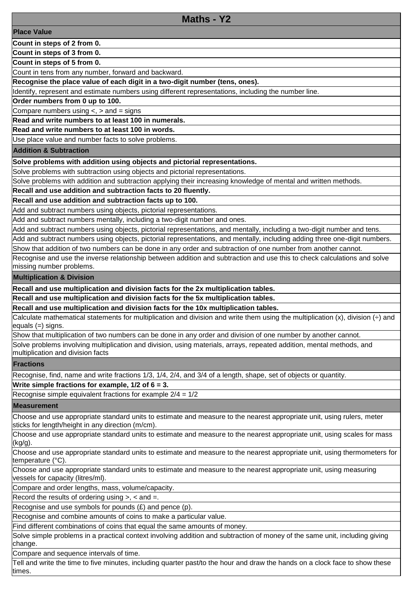**Place Value**

**Count in steps of 2 from 0.**

**Count in steps of 3 from 0.**

**Count in steps of 5 from 0.**

Count in tens from any number, forward and backward.

**Recognise the place value of each digit in a two-digit number (tens, ones).**

Identify, represent and estimate numbers using different representations, including the number line.

**Order numbers from 0 up to 100.** 

Compare numbers using  $\lt$ ,  $>$  and  $=$  signs

**Read and write numbers to at least 100 in numerals.**

**Read and write numbers to at least 100 in words.**

Use place value and number facts to solve problems.

**Addition & Subtraction**

**Solve problems with addition using objects and pictorial representations.**

Solve problems with subtraction using objects and pictorial representations.

Solve problems with addition and subtraction applying their increasing knowledge of mental and written methods.

## **Recall and use addition and subtraction facts to 20 fluently.**

**Recall and use addition and subtraction facts up to 100.**

Add and subtract numbers using objects, pictorial representations.

Add and subtract numbers mentally, including a two-digit number and ones.

Add and subtract numbers using objects, pictorial representations, and mentally, including a two-digit number and tens.

Add and subtract numbers using objects, pictorial representations, and mentally, including adding three one-digit numbers. Show that addition of two numbers can be done in any order and subtraction of one number from another cannot.

Recognise and use the inverse relationship between addition and subtraction and use this to check calculations and solve missing number problems.

**Multiplication & Division**

**Recall and use multiplication and division facts for the 2x multiplication tables.**

**Recall and use multiplication and division facts for the 5x multiplication tables.** 

**Recall and use multiplication and division facts for the 10x multiplication tables.** 

Calculate mathematical statements for multiplication and division and write them using the multiplication  $(x)$ , division  $\leftrightarrow$  and equals (=) signs.

Show that multiplication of two numbers can be done in any order and division of one number by another cannot.

Solve problems involving multiplication and division, using materials, arrays, repeated addition, mental methods, and multiplication and division facts

**Fractions**

Recognise, find, name and write fractions 1/3, 1/4, 2/4, and 3/4 of a length, shape, set of objects or quantity.

**Write simple fractions for example, 1/2 of 6 = 3.**

Recognise simple equivalent fractions for example  $2/4 = 1/2$ 

**Measurement**

Choose and use appropriate standard units to estimate and measure to the nearest appropriate unit, using rulers, meter sticks for length/height in any direction (m/cm).

Choose and use appropriate standard units to estimate and measure to the nearest appropriate unit, using scales for mass (kg/g).

Choose and use appropriate standard units to estimate and measure to the nearest appropriate unit, using thermometers for temperature (°C).

Choose and use appropriate standard units to estimate and measure to the nearest appropriate unit, using measuring vessels for capacity (litres/ml).

Compare and order lengths, mass, volume/capacity.

Record the results of ordering using  $>$ ,  $<$  and  $=$ .

Recognise and use symbols for pounds (£) and pence (p).

Recognise and combine amounts of coins to make a particular value.

Find different combinations of coins that equal the same amounts of money.

Solve simple problems in a practical context involving addition and subtraction of money of the same unit, including giving change.

Compare and sequence intervals of time.

Tell and write the time to five minutes, including quarter past/to the hour and draw the hands on a clock face to show these times.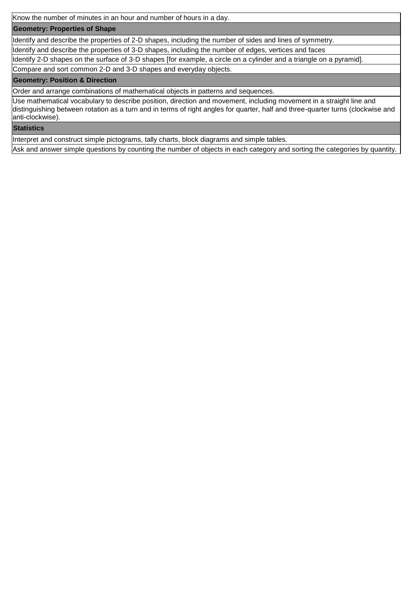Know the number of minutes in an hour and number of hours in a day.

## **Geometry: Properties of Shape**

Identify and describe the properties of 2-D shapes, including the number of sides and lines of symmetry.

Identify and describe the properties of 3-D shapes, including the number of edges, vertices and faces

Identify 2-D shapes on the surface of 3-D shapes [for example, a circle on a cylinder and a triangle on a pyramid].

Compare and sort common 2-D and 3-D shapes and everyday objects.

## **Geometry: Position & Direction**

Order and arrange combinations of mathematical objects in patterns and sequences.

Use mathematical vocabulary to describe position, direction and movement, including movement in a straight line and distinguishing between rotation as a turn and in terms of right angles for quarter, half and three-quarter turns (clockwise and anti-clockwise).

## **Statistics**

Interpret and construct simple pictograms, tally charts, block diagrams and simple tables.

Ask and answer simple questions by counting the number of objects in each category and sorting the categories by quantity.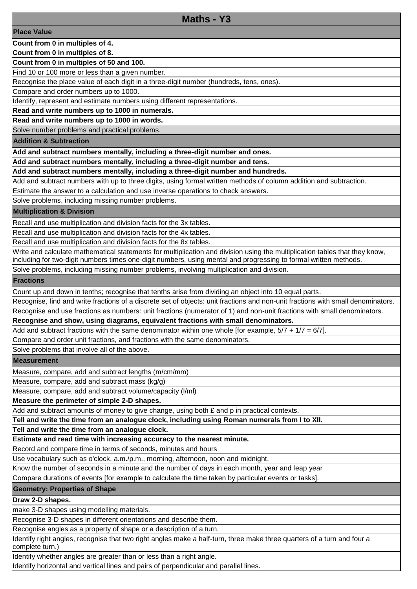#### **Place Value**

## **Count from 0 in multiples of 4.**

**Count from 0 in multiples of 8.** 

## **Count from 0 in multiples of 50 and 100.**

Find 10 or 100 more or less than a given number.

Recognise the place value of each digit in a three-digit number (hundreds, tens, ones).

Compare and order numbers up to 1000.

Identify, represent and estimate numbers using different representations.

**Read and write numbers up to 1000 in numerals.**

**Read and write numbers up to 1000 in words.**

Solve number problems and practical problems.

## **Addition & Subtraction**

**Add and subtract numbers mentally, including a three-digit number and ones.** 

**Add and subtract numbers mentally, including a three-digit number and tens.** 

**Add and subtract numbers mentally, including a three-digit number and hundreds.** 

Add and subtract numbers with up to three digits, using formal written methods of column addition and subtraction.

Estimate the answer to a calculation and use inverse operations to check answers.

Solve problems, including missing number problems.

## **Multiplication & Division**

Recall and use multiplication and division facts for the 3x tables.

Recall and use multiplication and division facts for the 4x tables.

Recall and use multiplication and division facts for the 8x tables.

Write and calculate mathematical statements for multiplication and division using the multiplication tables that they know, including for two-digit numbers times one-digit numbers, using mental and progressing to formal written methods.

Solve problems, including missing number problems, involving multiplication and division.

**Fractions**

Count up and down in tenths; recognise that tenths arise from dividing an object into 10 equal parts.

Recognise, find and write fractions of a discrete set of objects: unit fractions and non-unit fractions with small denominators.

Recognise and use fractions as numbers: unit fractions (numerator of 1) and non-unit fractions with small denominators.

**Recognise and show, using diagrams, equivalent fractions with small denominators.** 

Add and subtract fractions with the same denominator within one whole [for example, 5/7 + 1/7 = 6/7].

Compare and order unit fractions, and fractions with the same denominators.

Solve problems that involve all of the above.

**Measurement**

Measure, compare, add and subtract lengths (m/cm/mm)

Measure, compare, add and subtract mass (kg/g)

Measure, compare, add and subtract volume/capacity (l/ml)

**Measure the perimeter of simple 2-D shapes.**

Add and subtract amounts of money to give change, using both  $E$  and p in practical contexts.

**Tell and write the time from an analogue clock, including using Roman numerals from I to XII.**

**Tell and write the time from an analogue clock.**

**Estimate and read time with increasing accuracy to the nearest minute.**

Record and compare time in terms of seconds, minutes and hours

Use vocabulary such as o'clock, a.m./p.m., morning, afternoon, noon and midnight.

Know the number of seconds in a minute and the number of days in each month, year and leap year

Compare durations of events [for example to calculate the time taken by particular events or tasks].

**Geometry: Properties of Shape**

## **Draw 2-D shapes.**

make 3-D shapes using modelling materials.

Recognise 3-D shapes in different orientations and describe them.

Recognise angles as a property of shape or a description of a turn.

Identify right angles, recognise that two right angles make a half-turn, three make three quarters of a turn and four a complete turn.)

Identify whether angles are greater than or less than a right angle.

Identify horizontal and vertical lines and pairs of perpendicular and parallel lines.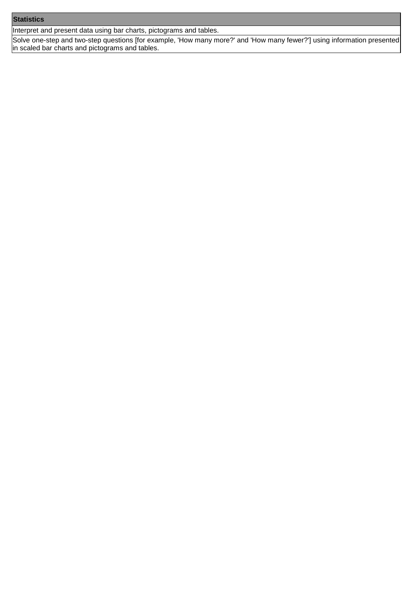Interpret and present data using bar charts, pictograms and tables.

Solve one-step and two-step questions [for example, 'How many more?' and 'How many fewer?'] using information presented in scaled bar charts and pictograms and tables.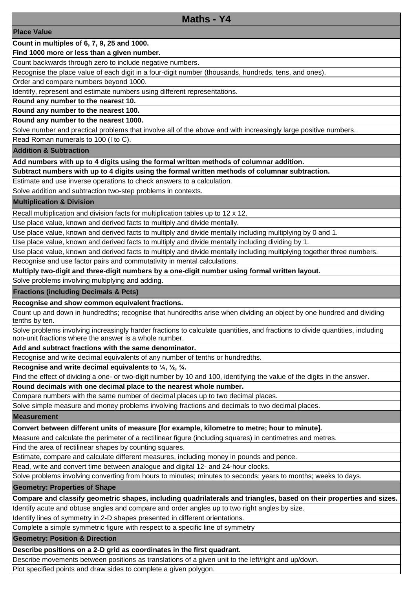### **Place Value**

## **Count in multiples of 6, 7, 9, 25 and 1000.**

## **Find 1000 more or less than a given number.**

Count backwards through zero to include negative numbers.

Recognise the place value of each digit in a four-digit number (thousands, hundreds, tens, and ones).

Order and compare numbers beyond 1000.

Identify, represent and estimate numbers using different representations.

**Round any number to the nearest 10.** 

**Round any number to the nearest 100.**

**Round any number to the nearest 1000.**

Solve number and practical problems that involve all of the above and with increasingly large positive numbers.

Read Roman numerals to 100 (I to C).

**Addition & Subtraction**

**Add numbers with up to 4 digits using the formal written methods of columnar addition.**

**Subtract numbers with up to 4 digits using the formal written methods of columnar subtraction.**

Estimate and use inverse operations to check answers to a calculation.

Solve addition and subtraction two-step problems in contexts.

### **Multiplication & Division**

Recall multiplication and division facts for multiplication tables up to 12 x 12.

Use place value, known and derived facts to multiply and divide mentally.

Use place value, known and derived facts to multiply and divide mentally including multiplying by 0 and 1.

Use place value, known and derived facts to multiply and divide mentally including dividing by 1.

Use place value, known and derived facts to multiply and divide mentally including multiplying together three numbers.

Recognise and use factor pairs and commutativity in mental calculations.

**Multiply two-digit and three-digit numbers by a one-digit number using formal written layout.**

Solve problems involving multiplying and adding.

**Fractions (including Decimals & Pcts)**

## **Recognise and show common equivalent fractions.**

Count up and down in hundredths; recognise that hundredths arise when dividing an object by one hundred and dividing tenths by ten.

Solve problems involving increasingly harder fractions to calculate quantities, and fractions to divide quantities, including non-unit fractions where the answer is a whole number.

**Add and subtract fractions with the same denominator.**

Recognise and write decimal equivalents of any number of tenths or hundredths.

**Recognise and write decimal equivalents to ¼, ½, ¾.**

Find the effect of dividing a one- or two-digit number by 10 and 100, identifying the value of the digits in the answer.

## **Round decimals with one decimal place to the nearest whole number.**

Compare numbers with the same number of decimal places up to two decimal places.

Solve simple measure and money problems involving fractions and decimals to two decimal places.

**Measurement**

## **Convert between different units of measure [for example, kilometre to metre; hour to minute].**

Measure and calculate the perimeter of a rectilinear figure (including squares) in centimetres and metres.

Find the area of rectilinear shapes by counting squares.

Estimate, compare and calculate different measures, including money in pounds and pence.

Read, write and convert time between analogue and digital 12- and 24-hour clocks.

Solve problems involving converting from hours to minutes; minutes to seconds; years to months; weeks to days.

### **Geometry: Properties of Shape**

**Compare and classify geometric shapes, including quadrilaterals and triangles, based on their properties and sizes.**

Identify acute and obtuse angles and compare and order angles up to two right angles by size.

dentify lines of symmetry in 2-D shapes presented in different orientations.

Complete a simple symmetric figure with respect to a specific line of symmetry

**Geometry: Position & Direction**

## **Describe positions on a 2-D grid as coordinates in the first quadrant.**

Describe movements between positions as translations of a given unit to the left/right and up/down.

Plot specified points and draw sides to complete a given polygon.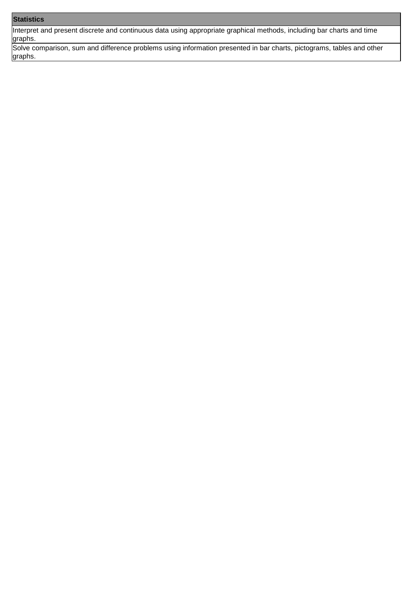### **Statistics**

Interpret and present discrete and continuous data using appropriate graphical methods, including bar charts and time graphs.

Solve comparison, sum and difference problems using information presented in bar charts, pictograms, tables and other graphs.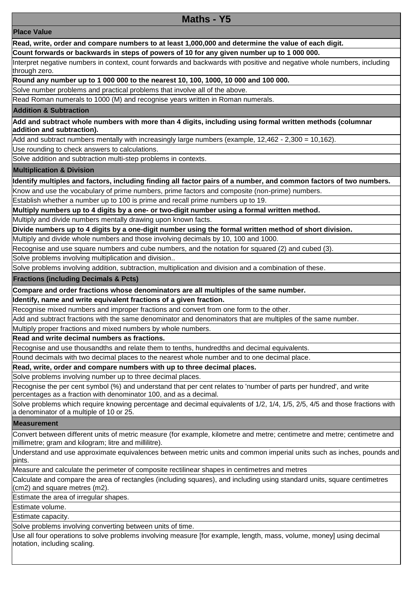| <b>Place Value</b>                                                                                                                                                                      |
|-----------------------------------------------------------------------------------------------------------------------------------------------------------------------------------------|
| Read, write, order and compare numbers to at least 1,000,000 and determine the value of each digit.                                                                                     |
| Count forwards or backwards in steps of powers of 10 for any given number up to 1 000 000.                                                                                              |
| Interpret negative numbers in context, count forwards and backwards with positive and negative whole numbers, including<br>through zero.                                                |
| Round any number up to 1 000 000 to the nearest 10, 100, 1000, 10 000 and 100 000.                                                                                                      |
| Solve number problems and practical problems that involve all of the above.                                                                                                             |
| Read Roman numerals to 1000 (M) and recognise years written in Roman numerals.                                                                                                          |
| <b>Addition &amp; Subtraction</b>                                                                                                                                                       |
| Add and subtract whole numbers with more than 4 digits, including using formal written methods (columnar<br>addition and subtraction).                                                  |
| Add and subtract numbers mentally with increasingly large numbers (example, 12,462 - 2,300 = 10,162).                                                                                   |
| Use rounding to check answers to calculations.                                                                                                                                          |
| Solve addition and subtraction multi-step problems in contexts.                                                                                                                         |
| <b>Multiplication &amp; Division</b>                                                                                                                                                    |
| Identify multiples and factors, including finding all factor pairs of a number, and common factors of two numbers.                                                                      |
| Know and use the vocabulary of prime numbers, prime factors and composite (non-prime) numbers.                                                                                          |
| Establish whether a number up to 100 is prime and recall prime numbers up to 19.                                                                                                        |
| Multiply numbers up to 4 digits by a one- or two-digit number using a formal written method.                                                                                            |
| Multiply and divide numbers mentally drawing upon known facts.                                                                                                                          |
| Divide numbers up to 4 digits by a one-digit number using the formal written method of short division.                                                                                  |
| Multiply and divide whole numbers and those involving decimals by 10, 100 and 1000.                                                                                                     |
| Recognise and use square numbers and cube numbers, and the notation for squared (2) and cubed (3).                                                                                      |
| Solve problems involving multiplication and division                                                                                                                                    |
| Solve problems involving addition, subtraction, multiplication and division and a combination of these.                                                                                 |
| <b>Fractions (including Decimals &amp; Pcts)</b>                                                                                                                                        |
| Compare and order fractions whose denominators are all multiples of the same number.                                                                                                    |
| Identify, name and write equivalent fractions of a given fraction.                                                                                                                      |
| Recognise mixed numbers and improper fractions and convert from one form to the other.                                                                                                  |
| Add and subtract fractions with the same denominator and denominators that are multiples of the same number.                                                                            |
| Multiply proper fractions and mixed numbers by whole numbers.                                                                                                                           |
| Read and write decimal numbers as fractions.                                                                                                                                            |
| Recognise and use thousandths and relate them to tenths, hundredths and decimal equivalents.                                                                                            |
| Round decimals with two decimal places to the nearest whole number and to one decimal place.                                                                                            |
| Read, write, order and compare numbers with up to three decimal places.                                                                                                                 |
| Solve problems involving number up to three decimal places.                                                                                                                             |
| Recognise the per cent symbol (%) and understand that per cent relates to 'number of parts per hundred', and write<br>percentages as a fraction with denominator 100, and as a decimal. |
| Solve problems which require knowing percentage and decimal equivalents of 1/2, 1/4, 1/5, 2/5, 4/5 and those fractions with<br>a denominator of a multiple of 10 or 25.                 |
| <b>Measurement</b>                                                                                                                                                                      |
| Convert between different units of metric measure (for example, kilometre and metre; centimetre and metre; centimetre and<br>millimetre; gram and kilogram; litre and millilitre).      |
| Understand and use approximate equivalences between metric units and common imperial units such as inches, pounds and<br>pints.                                                         |
| Measure and calculate the perimeter of composite rectilinear shapes in centimetres and metres                                                                                           |
| Calculate and compare the area of rectangles (including squares), and including using standard units, square centimetres<br>(cm2) and square metres (m2).                               |
| Estimate the area of irregular shapes.                                                                                                                                                  |

Estimate volume.

Estimate capacity.

Solve problems involving converting between units of time.

Use all four operations to solve problems involving measure [for example, length, mass, volume, money] using decimal notation, including scaling.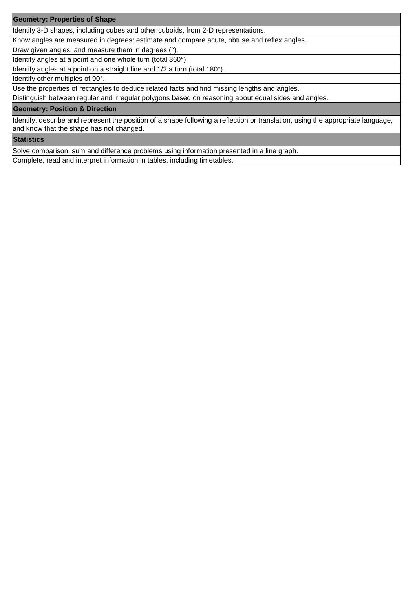### **Geometry: Properties of Shape**

Identify 3-D shapes, including cubes and other cuboids, from 2-D representations.

Know angles are measured in degrees: estimate and compare acute, obtuse and reflex angles.

Draw given angles, and measure them in degrees (°).

Identify angles at a point and one whole turn (total 360°).

Identify angles at a point on a straight line and 1/2 a turn (total 180°).

Identify other multiples of 90°.

Use the properties of rectangles to deduce related facts and find missing lengths and angles.

Distinguish between regular and irregular polygons based on reasoning about equal sides and angles.

**Geometry: Position & Direction**

Identify, describe and represent the position of a shape following a reflection or translation, using the appropriate language, and know that the shape has not changed.

**Statistics**

Solve comparison, sum and difference problems using information presented in a line graph.

Complete, read and interpret information in tables, including timetables.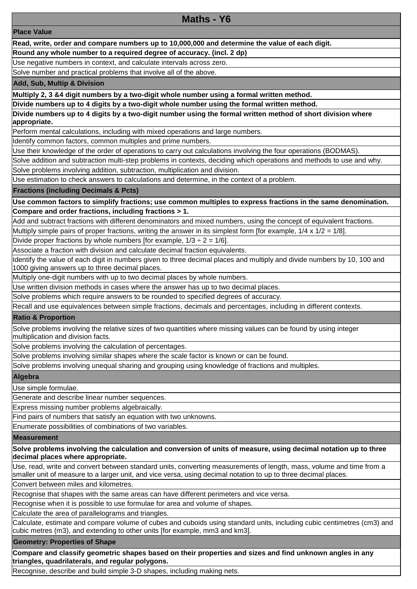**Place Value**

**Read, write, order and compare numbers up to 10,000,000 and determine the value of each digit.**

**Round any whole number to a required degree of accuracy. (incl. 2 dp)**

Use negative numbers in context, and calculate intervals across zero.

Solve number and practical problems that involve all of the above.

**Add, Sub, Multip & Division**

**Multiply 2, 3 &4 digit numbers by a two-digit whole number using a formal written method.**

**Divide numbers up to 4 digits by a two-digit whole number using the formal written method.**

**Divide numbers up to 4 digits by a two-digit number using the formal written method of short division where appropriate.**

Perform mental calculations, including with mixed operations and large numbers.

Identify common factors, common multiples and prime numbers.

Use their knowledge of the order of operations to carry out calculations involving the four operations (BODMAS).

Solve addition and subtraction multi-step problems in contexts, deciding which operations and methods to use and why.

Solve problems involving addition, subtraction, multiplication and division.

Use estimation to check answers to calculations and determine, in the context of a problem.

**Fractions (including Decimals & Pcts)**

**Use common factors to simplify fractions; use common multiples to express fractions in the same denomination. Compare and order fractions, including fractions > 1.**

Add and subtract fractions with different denominators and mixed numbers, using the concept of equivalent fractions.

Multiply simple pairs of proper fractions, writing the answer in its simplest form [for example, 1/4 x 1/2 = 1/8].

Divide proper fractions by whole numbers [for example,  $1/3 \div 2 = 1/6$ ].

Associate a fraction with division and calculate decimal fraction equivalents.

Identify the value of each digit in numbers given to three decimal places and multiply and divide numbers by 10, 100 and 1000 giving answers up to three decimal places.

Multiply one-digit numbers with up to two decimal places by whole numbers.

Use written division methods in cases where the answer has up to two decimal places.

Solve problems which require answers to be rounded to specified degrees of accuracy.

Recall and use equivalences between simple fractions, decimals and percentages, including in different contexts.

### **Ratio & Proportion**

Solve problems involving the relative sizes of two quantities where missing values can be found by using integer multiplication and division facts.

Solve problems involving the calculation of percentages.

Solve problems involving similar shapes where the scale factor is known or can be found.

Solve problems involving unequal sharing and grouping using knowledge of fractions and multiples.

**Algebra**

Use simple formulae.

Generate and describe linear number sequences.

Express missing number problems algebraically.

Find pairs of numbers that satisfy an equation with two unknowns.

Enumerate possibilities of combinations of two variables.

### **Measurement**

**Solve problems involving the calculation and conversion of units of measure, using decimal notation up to three decimal places where appropriate.**

Use, read, write and convert between standard units, converting measurements of length, mass, volume and time from a smaller unit of measure to a larger unit, and vice versa, using decimal notation to up to three decimal places.

Convert between miles and kilometres.

Recognise that shapes with the same areas can have different perimeters and vice versa.

Recognise when it is possible to use formulae for area and volume of shapes.

Calculate the area of parallelograms and triangles.

Calculate, estimate and compare volume of cubes and cuboids using standard units, including cubic centimetres (cm3) and cubic metres (m3), and extending to other units [for example, mm3 and km3].

**Geometry: Properties of Shape**

**Compare and classify geometric shapes based on their properties and sizes and find unknown angles in any triangles, quadrilaterals, and regular polygons.** 

Recognise, describe and build simple 3-D shapes, including making nets.